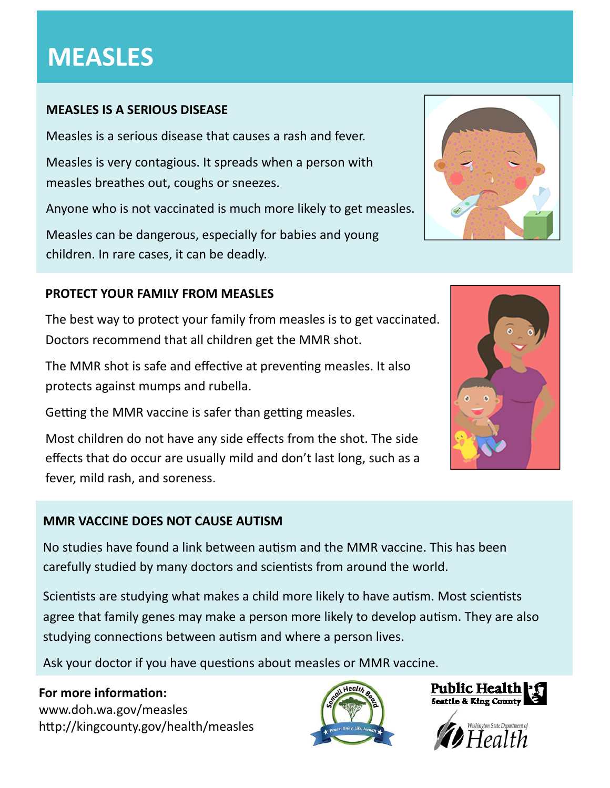# **MEASLES**

# **MEASLES IS A SERIOUS DISEASE**

Measles is a serious disease that causes a rash and fever.

Measles is very contagious. It spreads when a person with measles breathes out, coughs or sneezes.

Anyone who is not vaccinated is much more likely to get measles.

Measles can be dangerous, especially for babies and young children. In rare cases, it can be deadly.

# **PROTECT YOUR FAMILY FROM MEASLES**

The best way to protect your family from measles is to get vaccinated. Doctors recommend that all children get the MMR shot.

The MMR shot is safe and effective at preventing measles. It also protects against mumps and rubella.

Getting the MMR vaccine is safer than getting measles.

Most children do not have any side effects from the shot. The side effects that do occur are usually mild and don't last long, such as a fever, mild rash, and soreness.

### **MMR VACCINE DOES NOT CAUSE AUTISM**

No studies have found a link between autism and the MMR vaccine. This has been carefully studied by many doctors and scientists from around the world.

Scientists are studying what makes a child more likely to have autism. Most scientists agree that family genes may make a person more likely to develop autism. They are also studying connections between autism and where a person lives.

Ask your doctor if you have questions about measles or MMR vaccine.

# **For** more information: www.doh.wa.gov/measles http://kingcounty.gov/health/measles